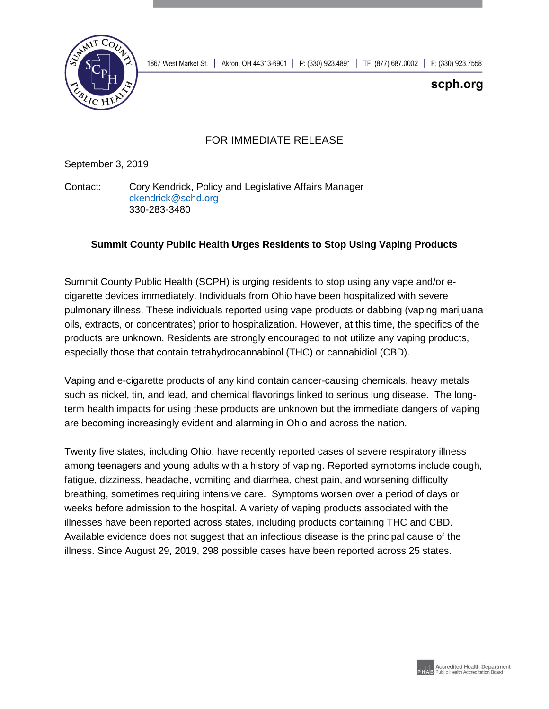

## scph.org

## FOR IMMEDIATE RELEASE

September 3, 2019

Contact: Cory Kendrick, Policy and Legislative Affairs Manager [ckendrick@schd.org](mailto:ckendrick@schd.org) 330-283-3480

## **Summit County Public Health Urges Residents to Stop Using Vaping Products**

Summit County Public Health (SCPH) is urging residents to stop using any vape and/or ecigarette devices immediately. Individuals from Ohio have been hospitalized with severe pulmonary illness. These individuals reported using vape products or dabbing (vaping marijuana oils, extracts, or concentrates) prior to hospitalization. However, at this time, the specifics of the products are unknown. Residents are strongly encouraged to not utilize any vaping products, especially those that contain tetrahydrocannabinol (THC) or cannabidiol (CBD).

Vaping and e-cigarette products of any kind contain cancer-causing chemicals, heavy metals such as nickel, tin, and lead, and chemical flavorings linked to serious lung disease. The longterm health impacts for using these products are unknown but the immediate dangers of vaping are becoming increasingly evident and alarming in Ohio and across the nation.

Twenty five states, including Ohio, have recently reported cases of severe respiratory illness among teenagers and young adults with a history of vaping. Reported symptoms include cough, fatigue, dizziness, headache, vomiting and diarrhea, chest pain, and worsening difficulty breathing, sometimes requiring intensive care. Symptoms worsen over a period of days or weeks before admission to the hospital. A variety of vaping products associated with the illnesses have been reported across states, including products containing THC and CBD. Available evidence does not suggest that an infectious disease is the principal cause of the illness. Since August 29, 2019, 298 possible cases have been reported across 25 states.